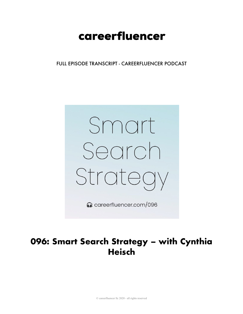# careerfluencer

FULL EPISODE TRANSCRIPT - CAREERFLUENCER PODCAST



# 096: Smart Search Strategy - with Cynthia **Heisch**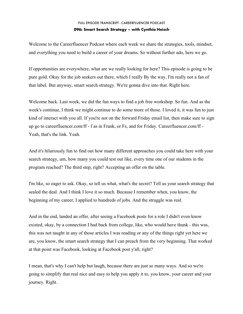Welcome to the Careerfluencer Podcast where each week we share the strategies, tools, mindset, and everything you need to build a career of your dreams. So without further ado, here we go.

If opportunities are everywhere, what are we really looking for here? This episode is going to be pure gold. Okay for the job seekers out there, which I really By the way, I'm really not a fan of that label. But anyway, smart search strategy. We're gonna dive into that. Right here.

Welcome back. Last week, we did the fun ways to find a job free workshop. So fun. And as the week's continue, I think we might continue to do some more of those. I loved it, it was fun to just kind of interact with you all. If you're not on the forward Friday email list, then make sure to sign up go to careerfluencer.com/ff - f as in Frank, or Fs, and for Friday. Careerfluencer.com/ff - Yeah, that's the link. Yeah.

And it's hilariously fun to find out how many different approaches you could take here with your search strategy, um, how many you could test out like, every time one of our students in the program reached? The third step, right? Accepting an offer on the table.

I'm like, so eager to ask. Okay, so tell us what, what's the secret? Tell us your search strategy that sealed the deal. And I think I love it so much. Because I remember when, you know, the beginning of my career, I applied to hundreds of jobs. And the struggle was real.

And in the end, landed an offer, after seeing a Facebook posts for a role I didn't even know existed, okay, by a connection I had back from college, like, who would have thunk - this was, this was not taught in any of those articles I was reading or any of the things right yet here we are, you know, the smart search strategy that I can preach from the very beginning. That worked at that point was Facebook, looking at Facebook post y'all, right?

I mean, that's why I can't help but laugh, because there are just so many ways. And so we're going to simplify that real nice and easy to help you apply it to, you know, your career and your journey. Right.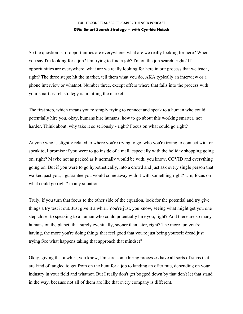So the question is, if opportunities are everywhere, what are we really looking for here? When you say I'm looking for a job? I'm trying to find a job? I'm on the job search, right? If opportunities are everywhere, what are we really looking for here in our process that we teach, right? The three steps: hit the market, tell them what you do, AKA typically an interview or a phone interview or whatnot. Number three, except offers where that falls into the process with your smart search strategy is in hitting the market.

The first step, which means you're simply trying to connect and speak to a human who could potentially hire you, okay, humans hire humans, how to go about this working smarter, not harder. Think about, why take it so seriously - right? Focus on what could go right?

Anyone who is slightly related to where you're trying to go, who you're trying to connect with or speak to, I promise if you were to go inside of a mall, especially with the holiday shopping going on, right? Maybe not as packed as it normally would be with, you know, COVID and everything going on. But if you were to go hypothetically, into a crowd and just ask every single person that walked past you, I guarantee you would come away with it with something right? Um, focus on what could go right? in any situation.

Truly, if you turn that focus to the other side of the equation, look for the potential and try give things a try test it out. Just give it a whirl. You're just, you know, seeing what might get you one step closer to speaking to a human who could potentially hire you, right? And there are so many humans on the planet, that surely eventually, sooner than later, right? The more fun you're having, the more you're doing things that feel good that you're just being yourself dread just trying See what happens taking that approach that mindset?

Okay, giving that a whirl, you know, I'm sure some hiring processes have all sorts of steps that are kind of tangled to get from on the hunt for a job to landing an offer rate, depending on your industry in your field and whatnot. But I really don't get bogged down by that don't let that stand in the way, because not all of them are like that every company is different.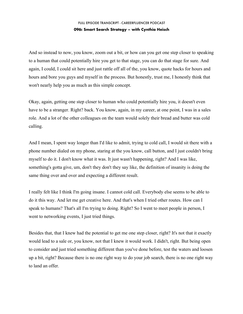And so instead to now, you know, zoom out a bit, or how can you get one step closer to speaking to a human that could potentially hire you get to that stage, you can do that stage for sure. And again, I could, I could sit here and just rattle off all of the, you know, quote hacks for hours and hours and bore you guys and myself in the process. But honestly, trust me, I honestly think that won't nearly help you as much as this simple concept.

Okay, again, getting one step closer to human who could potentially hire you, it doesn't even have to be a stranger. Right? back. You know, again, in my career, at one point, I was in a sales role. And a lot of the other colleagues on the team would solely their bread and butter was cold calling.

And I mean, I spent way longer than I'd like to admit, trying to cold call, I would sit there with a phone number dialed on my phone, staring at the you know, call button, and I just couldn't bring myself to do it. I don't know what it was. It just wasn't happening, right? And I was like, something's gotta give, um, don't they don't they say like, the definition of insanity is doing the same thing over and over and expecting a different result.

I really felt like I think I'm going insane. I cannot cold call. Everybody else seems to be able to do it this way. And let me get creative here. And that's when I tried other routes. How can I speak to humans? That's all I'm trying to doing. Right? So I went to meet people in person, I went to networking events, I just tried things.

Besides that, that I knew had the potential to get me one step closer, right? It's not that it exactly would lead to a sale or, you know, not that I knew it would work. I didn't, right. But being open to consider and just tried something different than you've done before, test the waters and loosen up a bit, right? Because there is no one right way to do your job search, there is no one right way to land an offer.